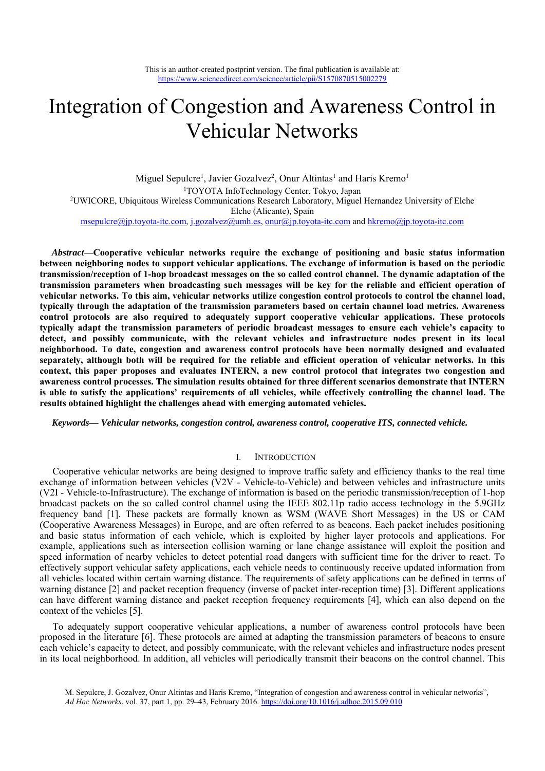# Integration of Congestion and Awareness Control in Vehicular Networks

Miguel Sepulcre<sup>1</sup>, Javier Gozalvez<sup>2</sup>, Onur Altintas<sup>1</sup> and Haris Kremo<sup>1</sup> <sup>1</sup>TOYOTA InfoTechnology Center, Tokyo, Japan <sup>1</sup>TOYOTA InfoTechnology Center, Tokyo, Japan<br><sup>2</sup>UWICORE, Ubiquitous Wireless Communications Research Laboratory, Miguel Hernandez University of Elche Elche (Alicante), Spain msepulcre@jp.toyota-itc.com, j.gozalvez@umh.es, onur@jp.toyota-itc.com and hkremo@jp.toyota-itc.com

*Abstract***—Cooperative vehicular networks require the exchange of positioning and basic status information between neighboring nodes to support vehicular applications. The exchange of information is based on the periodic transmission/reception of 1-hop broadcast messages on the so called control channel. The dynamic adaptation of the transmission parameters when broadcasting such messages will be key for the reliable and efficient operation of vehicular networks. To this aim, vehicular networks utilize congestion control protocols to control the channel load, typically through the adaptation of the transmission parameters based on certain channel load metrics. Awareness control protocols are also required to adequately support cooperative vehicular applications. These protocols typically adapt the transmission parameters of periodic broadcast messages to ensure each vehicle's capacity to detect, and possibly communicate, with the relevant vehicles and infrastructure nodes present in its local neighborhood. To date, congestion and awareness control protocols have been normally designed and evaluated separately, although both will be required for the reliable and efficient operation of vehicular networks. In this context, this paper proposes and evaluates INTERN, a new control protocol that integrates two congestion and awareness control processes. The simulation results obtained for three different scenarios demonstrate that INTERN is able to satisfy the applications' requirements of all vehicles, while effectively controlling the channel load. The results obtained highlight the challenges ahead with emerging automated vehicles.**

*Keywords— Vehicular networks, congestion control, awareness control, cooperative ITS, connected vehicle.* 

# I. INTRODUCTION

Cooperative vehicular networks are being designed to improve traffic safety and efficiency thanks to the real time exchange of information between vehicles (V2V - Vehicle-to-Vehicle) and between vehicles and infrastructure units (V2I - Vehicle-to-Infrastructure). The exchange of information is based on the periodic transmission/reception of 1-hop broadcast packets on the so called control channel using the IEEE 802.11p radio access technology in the 5.9GHz frequency band [1]. These packets are formally known as WSM (WAVE Short Messages) in the US or CAM (Cooperative Awareness Messages) in Europe, and are often referred to as beacons. Each packet includes positioning and basic status information of each vehicle, which is exploited by higher layer protocols and applications. For example, applications such as intersection collision warning or lane change assistance will exploit the position and speed information of nearby vehicles to detect potential road dangers with sufficient time for the driver to react. To effectively support vehicular safety applications, each vehicle needs to continuously receive updated information from all vehicles located within certain warning distance. The requirements of safety applications can be defined in terms of warning distance [2] and packet reception frequency (inverse of packet inter-reception time) [3]. Different applications can have different warning distance and packet reception frequency requirements [4], which can also depend on the context of the vehicles [5].

To adequately support cooperative vehicular applications, a number of awareness control protocols have been proposed in the literature [6]. These protocols are aimed at adapting the transmission parameters of beacons to ensure each vehicle's capacity to detect, and possibly communicate, with the relevant vehicles and infrastructure nodes present in its local neighborhood. In addition, all vehicles will periodically transmit their beacons on the control channel. This

M. Sepulcre, J. Gozalvez, Onur Altintas and Haris Kremo, "Integration of congestion and awareness control in vehicular networks", *Ad Hoc Networks*, vol. 37, part 1, pp. 29–43, February 2016. https://doi.org/10.1016/j.adhoc.2015.09.010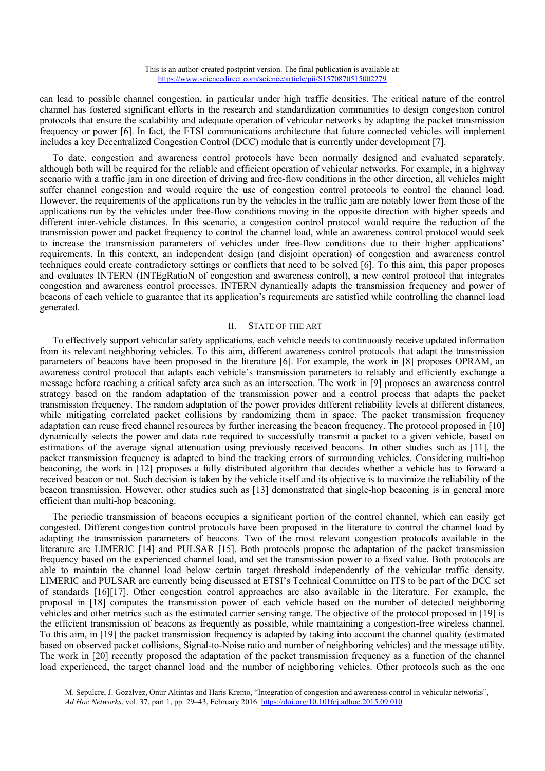can lead to possible channel congestion, in particular under high traffic densities. The critical nature of the control channel has fostered significant efforts in the research and standardization communities to design congestion control protocols that ensure the scalability and adequate operation of vehicular networks by adapting the packet transmission frequency or power [6]. In fact, the ETSI communications architecture that future connected vehicles will implement includes a key Decentralized Congestion Control (DCC) module that is currently under development [7].

To date, congestion and awareness control protocols have been normally designed and evaluated separately, although both will be required for the reliable and efficient operation of vehicular networks. For example, in a highway scenario with a traffic jam in one direction of driving and free-flow conditions in the other direction, all vehicles might suffer channel congestion and would require the use of congestion control protocols to control the channel load. However, the requirements of the applications run by the vehicles in the traffic jam are notably lower from those of the applications run by the vehicles under free-flow conditions moving in the opposite direction with higher speeds and different inter-vehicle distances. In this scenario, a congestion control protocol would require the reduction of the transmission power and packet frequency to control the channel load, while an awareness control protocol would seek to increase the transmission parameters of vehicles under free-flow conditions due to their higher applications' requirements. In this context, an independent design (and disjoint operation) of congestion and awareness control techniques could create contradictory settings or conflicts that need to be solved [6]. To this aim, this paper proposes and evaluates INTERN (INTEgRatioN of congestion and awareness control), a new control protocol that integrates congestion and awareness control processes. INTERN dynamically adapts the transmission frequency and power of beacons of each vehicle to guarantee that its application's requirements are satisfied while controlling the channel load generated.

# II. STATE OF THE ART

To effectively support vehicular safety applications, each vehicle needs to continuously receive updated information from its relevant neighboring vehicles. To this aim, different awareness control protocols that adapt the transmission parameters of beacons have been proposed in the literature [6]. For example, the work in [8] proposes OPRAM, an awareness control protocol that adapts each vehicle's transmission parameters to reliably and efficiently exchange a message before reaching a critical safety area such as an intersection. The work in [9] proposes an awareness control strategy based on the random adaptation of the transmission power and a control process that adapts the packet transmission frequency. The random adaptation of the power provides different reliability levels at different distances, while mitigating correlated packet collisions by randomizing them in space. The packet transmission frequency adaptation can reuse freed channel resources by further increasing the beacon frequency. The protocol proposed in [10] dynamically selects the power and data rate required to successfully transmit a packet to a given vehicle, based on estimations of the average signal attenuation using previously received beacons. In other studies such as [11], the packet transmission frequency is adapted to bind the tracking errors of surrounding vehicles. Considering multi-hop beaconing, the work in [12] proposes a fully distributed algorithm that decides whether a vehicle has to forward a received beacon or not. Such decision is taken by the vehicle itself and its objective is to maximize the reliability of the beacon transmission. However, other studies such as [13] demonstrated that single-hop beaconing is in general more efficient than multi-hop beaconing.

The periodic transmission of beacons occupies a significant portion of the control channel, which can easily get congested. Different congestion control protocols have been proposed in the literature to control the channel load by adapting the transmission parameters of beacons. Two of the most relevant congestion protocols available in the literature are LIMERIC [14] and PULSAR [15]. Both protocols propose the adaptation of the packet transmission frequency based on the experienced channel load, and set the transmission power to a fixed value. Both protocols are able to maintain the channel load below certain target threshold independently of the vehicular traffic density. LIMERIC and PULSAR are currently being discussed at ETSI's Technical Committee on ITS to be part of the DCC set of standards [16][17]. Other congestion control approaches are also available in the literature. For example, the proposal in [18] computes the transmission power of each vehicle based on the number of detected neighboring vehicles and other metrics such as the estimated carrier sensing range. The objective of the protocol proposed in [19] is the efficient transmission of beacons as frequently as possible, while maintaining a congestion-free wireless channel. To this aim, in [19] the packet transmission frequency is adapted by taking into account the channel quality (estimated based on observed packet collisions, Signal-to-Noise ratio and number of neighboring vehicles) and the message utility. The work in [20] recently proposed the adaptation of the packet transmission frequency as a function of the channel load experienced, the target channel load and the number of neighboring vehicles. Other protocols such as the one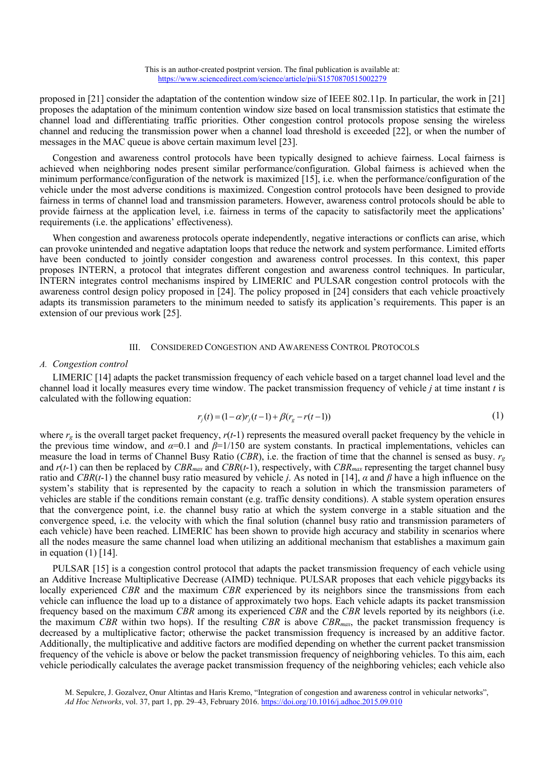proposed in [21] consider the adaptation of the contention window size of IEEE 802.11p. In particular, the work in [21] proposes the adaptation of the minimum contention window size based on local transmission statistics that estimate the channel load and differentiating traffic priorities. Other congestion control protocols propose sensing the wireless channel and reducing the transmission power when a channel load threshold is exceeded [22], or when the number of messages in the MAC queue is above certain maximum level [23].

Congestion and awareness control protocols have been typically designed to achieve fairness. Local fairness is achieved when neighboring nodes present similar performance/configuration. Global fairness is achieved when the minimum performance/configuration of the network is maximized [15], i.e. when the performance/configuration of the vehicle under the most adverse conditions is maximized. Congestion control protocols have been designed to provide fairness in terms of channel load and transmission parameters. However, awareness control protocols should be able to provide fairness at the application level, i.e. fairness in terms of the capacity to satisfactorily meet the applications' requirements (i.e. the applications' effectiveness).

When congestion and awareness protocols operate independently, negative interactions or conflicts can arise, which can provoke unintended and negative adaptation loops that reduce the network and system performance. Limited efforts have been conducted to jointly consider congestion and awareness control processes. In this context, this paper proposes INTERN, a protocol that integrates different congestion and awareness control techniques. In particular, INTERN integrates control mechanisms inspired by LIMERIC and PULSAR congestion control protocols with the awareness control design policy proposed in [24]. The policy proposed in [24] considers that each vehicle proactively adapts its transmission parameters to the minimum needed to satisfy its application's requirements. This paper is an extension of our previous work [25].

# III. CONSIDERED CONGESTION AND AWARENESS CONTROL PROTOCOLS

#### *A. Congestion control*

LIMERIC [14] adapts the packet transmission frequency of each vehicle based on a target channel load level and the channel load it locally measures every time window. The packet transmission frequency of vehicle *j* at time instant *t* is calculated with the following equation:

$$
r_j(t) = (1 - \alpha)r_j(t - 1) + \beta(r_g - r(t - 1))
$$
\n(1)

where *rg* is the overall target packet frequency, *r*(*t*-1) represents the measured overall packet frequency by the vehicle in the previous time window, and  $\alpha=0.1$  and  $\beta=1/150$  are system constants. In practical implementations, vehicles can measure the load in terms of Channel Busy Ratio (*CBR*), i.e. the fraction of time that the channel is sensed as busy. *rg* and  $r(t-1)$  can then be replaced by  $CBR_{max}$  and  $CBR(t-1)$ , respectively, with  $CBR_{max}$  representing the target channel busy ratio and *CBR*(*t*-1) the channel busy ratio measured by vehicle *j*. As noted in [14], *α* and *β* have a high influence on the system's stability that is represented by the capacity to reach a solution in which the transmission parameters of vehicles are stable if the conditions remain constant (e.g. traffic density conditions). A stable system operation ensures that the convergence point, i.e. the channel busy ratio at which the system converge in a stable situation and the convergence speed, i.e. the velocity with which the final solution (channel busy ratio and transmission parameters of each vehicle) have been reached. LIMERIC has been shown to provide high accuracy and stability in scenarios where all the nodes measure the same channel load when utilizing an additional mechanism that establishes a maximum gain in equation  $(1)$  [14].

PULSAR [15] is a congestion control protocol that adapts the packet transmission frequency of each vehicle using an Additive Increase Multiplicative Decrease (AIMD) technique. PULSAR proposes that each vehicle piggybacks its locally experienced *CBR* and the maximum *CBR* experienced by its neighbors since the transmissions from each vehicle can influence the load up to a distance of approximately two hops. Each vehicle adapts its packet transmission frequency based on the maximum *CBR* among its experienced *CBR* and the *CBR* levels reported by its neighbors (i.e. the maximum *CBR* within two hops). If the resulting *CBR* is above *CBRmax*, the packet transmission frequency is decreased by a multiplicative factor; otherwise the packet transmission frequency is increased by an additive factor. Additionally, the multiplicative and additive factors are modified depending on whether the current packet transmission frequency of the vehicle is above or below the packet transmission frequency of neighboring vehicles. To this aim, each vehicle periodically calculates the average packet transmission frequency of the neighboring vehicles; each vehicle also

M. Sepulcre, J. Gozalvez, Onur Altintas and Haris Kremo, "Integration of congestion and awareness control in vehicular networks", *Ad Hoc Networks*, vol. 37, part 1, pp. 29–43, February 2016. https://doi.org/10.1016/j.adhoc.2015.09.010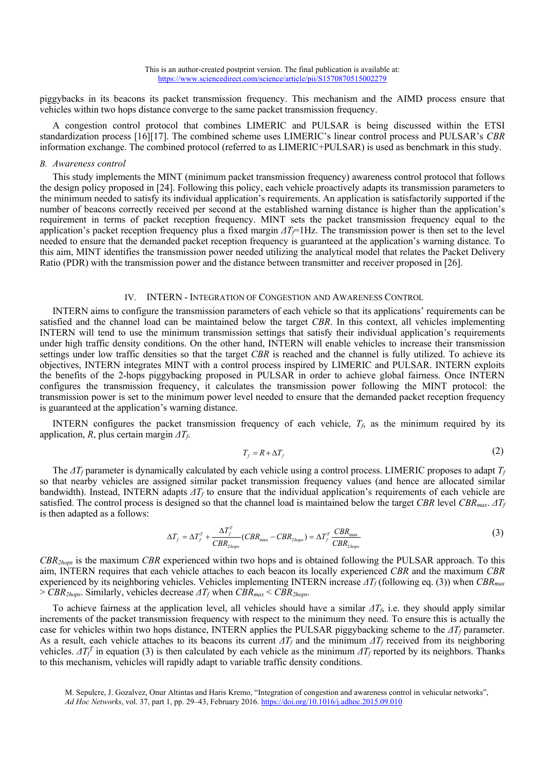piggybacks in its beacons its packet transmission frequency. This mechanism and the AIMD process ensure that vehicles within two hops distance converge to the same packet transmission frequency.

A congestion control protocol that combines LIMERIC and PULSAR is being discussed within the ETSI standardization process [16][17]. The combined scheme uses LIMERIC's linear control process and PULSAR's *CBR* information exchange. The combined protocol (referred to as LIMERIC+PULSAR) is used as benchmark in this study.

#### *B. Awareness control*

This study implements the MINT (minimum packet transmission frequency) awareness control protocol that follows the design policy proposed in [24]. Following this policy, each vehicle proactively adapts its transmission parameters to the minimum needed to satisfy its individual application's requirements. An application is satisfactorily supported if the number of beacons correctly received per second at the established warning distance is higher than the application's requirement in terms of packet reception frequency. MINT sets the packet transmission frequency equal to the application's packet reception frequency plus a fixed margin  $\Delta T_f$ =1Hz. The transmission power is then set to the level needed to ensure that the demanded packet reception frequency is guaranteed at the application's warning distance. To this aim, MINT identifies the transmission power needed utilizing the analytical model that relates the Packet Delivery Ratio (PDR) with the transmission power and the distance between transmitter and receiver proposed in [26].

# IV. INTERN - INTEGRATION OF CONGESTION AND AWARENESS CONTROL

INTERN aims to configure the transmission parameters of each vehicle so that its applications' requirements can be satisfied and the channel load can be maintained below the target *CBR*. In this context, all vehicles implementing INTERN will tend to use the minimum transmission settings that satisfy their individual application's requirements under high traffic density conditions. On the other hand, INTERN will enable vehicles to increase their transmission settings under low traffic densities so that the target *CBR* is reached and the channel is fully utilized. To achieve its objectives, INTERN integrates MINT with a control process inspired by LIMERIC and PULSAR. INTERN exploits the benefits of the 2-hops piggybacking proposed in PULSAR in order to achieve global fairness. Once INTERN configures the transmission frequency, it calculates the transmission power following the MINT protocol: the transmission power is set to the minimum power level needed to ensure that the demanded packet reception frequency is guaranteed at the application's warning distance.

INTERN configures the packet transmission frequency of each vehicle,  $T_f$ , as the minimum required by its application, *R*, plus certain margin *ΔTf*.

$$
T_f = R + \Delta T_f \tag{2}
$$

The *ΔTf* parameter is dynamically calculated by each vehicle using a control process. LIMERIC proposes to adapt *Tf* so that nearby vehicles are assigned similar packet transmission frequency values (and hence are allocated similar bandwidth). Instead, INTERN adapts *ΔTf* to ensure that the individual application's requirements of each vehicle are satisfied. The control process is designed so that the channel load is maintained below the target *CBR* level *CBRmax*. *ΔTf* is then adapted as a follows:

$$
\Delta T_f = \Delta T_f^T + \frac{\Delta T_f^T}{CBR_{2hops}} (CBR_{\text{max}} - CBR_{2hops}) = \Delta T_f^T \frac{CBR_{\text{max}}}{CBR_{2hops}} \tag{3}
$$

*CBR2hops* is the maximum *CBR* experienced within two hops and is obtained following the PULSAR approach. To this aim, INTERN requires that each vehicle attaches to each beacon its locally experienced *CBR* and the maximum *CBR* experienced by its neighboring vehicles. Vehicles implementing INTERN increase  $\Delta T_f$ (following eq. (3)) when *CBR<sub>max</sub>* > *CBR2hops*. Similarly, vehicles decrease *ΔTf* when *CBRmax* < *CBR2hops*.

To achieve fairness at the application level, all vehicles should have a similar  $\Delta T_f$ , i.e. they should apply similar increments of the packet transmission frequency with respect to the minimum they need. To ensure this is actually the case for vehicles within two hops distance, INTERN applies the PULSAR piggybacking scheme to the *ΔT<sub>f</sub>* parameter. As a result, each vehicle attaches to its beacons its current  $\Delta T_f$  and the minimum  $\Delta T_f$  received from its neighboring vehicles.  $\Delta T_f^T$  in equation (3) is then calculated by each vehicle as the minimum  $\Delta T_f$  reported by its neighbors. Thanks to this mechanism, vehicles will rapidly adapt to variable traffic density conditions.

M. Sepulcre, J. Gozalvez, Onur Altintas and Haris Kremo, "Integration of congestion and awareness control in vehicular networks", *Ad Hoc Networks*, vol. 37, part 1, pp. 29–43, February 2016. https://doi.org/10.1016/j.adhoc.2015.09.010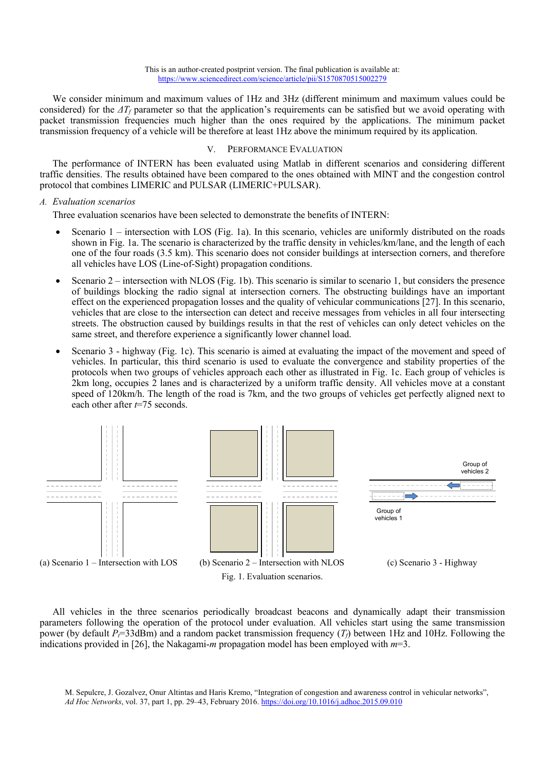We consider minimum and maximum values of 1Hz and 3Hz (different minimum and maximum values could be considered) for the  $\Delta T_f$  parameter so that the application's requirements can be satisfied but we avoid operating with packet transmission frequencies much higher than the ones required by the applications. The minimum packet transmission frequency of a vehicle will be therefore at least 1Hz above the minimum required by its application.

## V. PERFORMANCE EVALUATION

The performance of INTERN has been evaluated using Matlab in different scenarios and considering different traffic densities. The results obtained have been compared to the ones obtained with MINT and the congestion control protocol that combines LIMERIC and PULSAR (LIMERIC+PULSAR).

# *A. Evaluation scenarios*

Three evaluation scenarios have been selected to demonstrate the benefits of INTERN:

- Scenario 1 intersection with LOS (Fig. 1a). In this scenario, vehicles are uniformly distributed on the roads shown in Fig. 1a. The scenario is characterized by the traffic density in vehicles/km/lane, and the length of each one of the four roads (3.5 km). This scenario does not consider buildings at intersection corners, and therefore all vehicles have LOS (Line-of-Sight) propagation conditions.
- Scenario  $2$  intersection with NLOS (Fig. 1b). This scenario is similar to scenario 1, but considers the presence of buildings blocking the radio signal at intersection corners. The obstructing buildings have an important effect on the experienced propagation losses and the quality of vehicular communications [27]. In this scenario, vehicles that are close to the intersection can detect and receive messages from vehicles in all four intersecting streets. The obstruction caused by buildings results in that the rest of vehicles can only detect vehicles on the same street, and therefore experience a significantly lower channel load.
- Scenario 3 highway (Fig. 1c). This scenario is aimed at evaluating the impact of the movement and speed of vehicles. In particular, this third scenario is used to evaluate the convergence and stability properties of the protocols when two groups of vehicles approach each other as illustrated in Fig. 1c. Each group of vehicles is 2km long, occupies 2 lanes and is characterized by a uniform traffic density. All vehicles move at a constant speed of 120km/h. The length of the road is 7km, and the two groups of vehicles get perfectly aligned next to each other after *t*=75 seconds.



All vehicles in the three scenarios periodically broadcast beacons and dynamically adapt their transmission parameters following the operation of the protocol under evaluation. All vehicles start using the same transmission power (by default  $P_f$ =33dBm) and a random packet transmission frequency  $(T_f)$  between 1Hz and 10Hz. Following the indications provided in [26], the Nakagami-*m* propagation model has been employed with *m*=3.

M. Sepulcre, J. Gozalvez, Onur Altintas and Haris Kremo, "Integration of congestion and awareness control in vehicular networks", *Ad Hoc Networks*, vol. 37, part 1, pp. 29–43, February 2016. https://doi.org/10.1016/j.adhoc.2015.09.010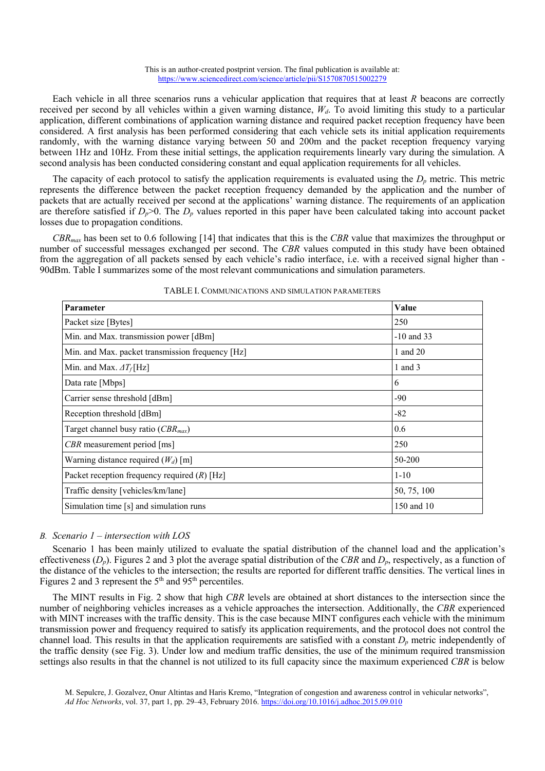Each vehicle in all three scenarios runs a vehicular application that requires that at least *R* beacons are correctly received per second by all vehicles within a given warning distance, *Wd*. To avoid limiting this study to a particular application, different combinations of application warning distance and required packet reception frequency have been considered. A first analysis has been performed considering that each vehicle sets its initial application requirements randomly, with the warning distance varying between 50 and 200m and the packet reception frequency varying between 1Hz and 10Hz. From these initial settings, the application requirements linearly vary during the simulation. A second analysis has been conducted considering constant and equal application requirements for all vehicles.

The capacity of each protocol to satisfy the application requirements is evaluated using the  $D<sub>p</sub>$  metric. This metric represents the difference between the packet reception frequency demanded by the application and the number of packets that are actually received per second at the applications' warning distance. The requirements of an application are therefore satisfied if  $D_p$ >0. The  $D_p$  values reported in this paper have been calculated taking into account packet losses due to propagation conditions.

*CBRmax* has been set to 0.6 following [14] that indicates that this is the *CBR* value that maximizes the throughput or number of successful messages exchanged per second. The *CBR* values computed in this study have been obtained from the aggregation of all packets sensed by each vehicle's radio interface, i.e. with a received signal higher than - 90dBm. Table I summarizes some of the most relevant communications and simulation parameters.

| <b>Parameter</b>                                 | Value        |
|--------------------------------------------------|--------------|
| Packet size [Bytes]                              | 250          |
| Min. and Max. transmission power [dBm]           | $-10$ and 33 |
| Min. and Max. packet transmission frequency [Hz] | 1 and 20     |
| Min. and Max. $\Delta T_f$ [Hz]                  | 1 and $3$    |
| Data rate [Mbps]                                 | 6            |
| Carrier sense threshold [dBm]                    | $-90$        |
| Reception threshold [dBm]                        | $-82$        |
| Target channel busy ratio $(CBR_{max})$          | 0.6          |
| <i>CBR</i> measurement period [ms]               | 250          |
| Warning distance required $(W_d)$ [m]            | 50-200       |
| Packet reception frequency required $(R)$ [Hz]   | $1 - 10$     |
| Traffic density [vehicles/km/lane]               | 50, 75, 100  |
| Simulation time $[s]$ and simulation runs        | 150 and 10   |

# TABLE I. COMMUNICATIONS AND SIMULATION PARAMETERS

# *B. Scenario 1 – intersection with LOS*

Scenario 1 has been mainly utilized to evaluate the spatial distribution of the channel load and the application's effectiveness (*Dp*). Figures 2 and 3 plot the average spatial distribution of the *CBR* and *Dp*, respectively, as a function of the distance of the vehicles to the intersection; the results are reported for different traffic densities. The vertical lines in Figures 2 and 3 represent the  $5<sup>th</sup>$  and  $95<sup>th</sup>$  percentiles.

The MINT results in Fig. 2 show that high *CBR* levels are obtained at short distances to the intersection since the number of neighboring vehicles increases as a vehicle approaches the intersection. Additionally, the *CBR* experienced with MINT increases with the traffic density. This is the case because MINT configures each vehicle with the minimum transmission power and frequency required to satisfy its application requirements, and the protocol does not control the channel load. This results in that the application requirements are satisfied with a constant  $D_p$  metric independently of the traffic density (see Fig. 3). Under low and medium traffic densities, the use of the minimum required transmission settings also results in that the channel is not utilized to its full capacity since the maximum experienced *CBR* is below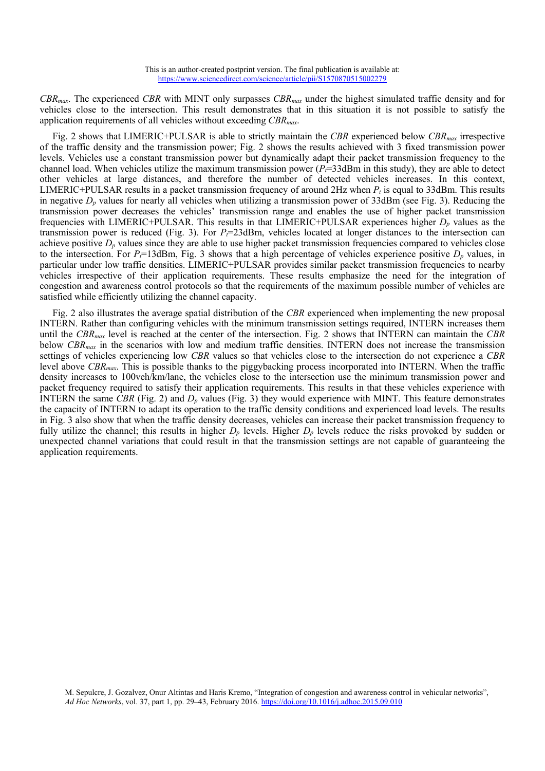*CBRmax*. The experienced *CBR* with MINT only surpasses *CBRmax* under the highest simulated traffic density and for vehicles close to the intersection. This result demonstrates that in this situation it is not possible to satisfy the application requirements of all vehicles without exceeding *CBRmax*.

Fig. 2 shows that LIMERIC+PULSAR is able to strictly maintain the *CBR* experienced below *CBRmax* irrespective of the traffic density and the transmission power; Fig. 2 shows the results achieved with 3 fixed transmission power levels. Vehicles use a constant transmission power but dynamically adapt their packet transmission frequency to the channel load. When vehicles utilize the maximum transmission power  $(P<sub>f</sub>=33dBm$  in this study), they are able to detect other vehicles at large distances, and therefore the number of detected vehicles increases. In this context, LIMERIC+PULSAR results in a packet transmission frequency of around  $2Hz$  when  $P_t$  is equal to 33dBm. This results in negative  $D_p$  values for nearly all vehicles when utilizing a transmission power of  $33$ dBm (see Fig. 3). Reducing the transmission power decreases the vehicles' transmission range and enables the use of higher packet transmission frequencies with LIMERIC+PULSAR. This results in that LIMERIC+PULSAR experiences higher *Dp* values as the transmission power is reduced (Fig. 3). For  $P_f$ =23dBm, vehicles located at longer distances to the intersection can achieve positive  $D_p$  values since they are able to use higher packet transmission frequencies compared to vehicles close to the intersection. For  $P_f$ =13dBm, Fig. 3 shows that a high percentage of vehicles experience positive  $D_p$  values, in particular under low traffic densities. LIMERIC+PULSAR provides similar packet transmission frequencies to nearby vehicles irrespective of their application requirements. These results emphasize the need for the integration of congestion and awareness control protocols so that the requirements of the maximum possible number of vehicles are satisfied while efficiently utilizing the channel capacity.

Fig. 2 also illustrates the average spatial distribution of the *CBR* experienced when implementing the new proposal INTERN. Rather than configuring vehicles with the minimum transmission settings required, INTERN increases them until the *CBRmax* level is reached at the center of the intersection. Fig. 2 shows that INTERN can maintain the *CBR* below *CBR<sub>max</sub>* in the scenarios with low and medium traffic densities. INTERN does not increase the transmission settings of vehicles experiencing low *CBR* values so that vehicles close to the intersection do not experience a *CBR* level above *CBRmax*. This is possible thanks to the piggybacking process incorporated into INTERN. When the traffic density increases to 100veh/km/lane, the vehicles close to the intersection use the minimum transmission power and packet frequency required to satisfy their application requirements. This results in that these vehicles experience with INTERN the same *CBR* (Fig. 2) and *Dp* values (Fig. 3) they would experience with MINT. This feature demonstrates the capacity of INTERN to adapt its operation to the traffic density conditions and experienced load levels. The results in Fig. 3 also show that when the traffic density decreases, vehicles can increase their packet transmission frequency to fully utilize the channel; this results in higher *D<sub>p</sub>* levels. Higher *D<sub>p</sub>* levels reduce the risks provoked by sudden or unexpected channel variations that could result in that the transmission settings are not capable of guaranteeing the application requirements.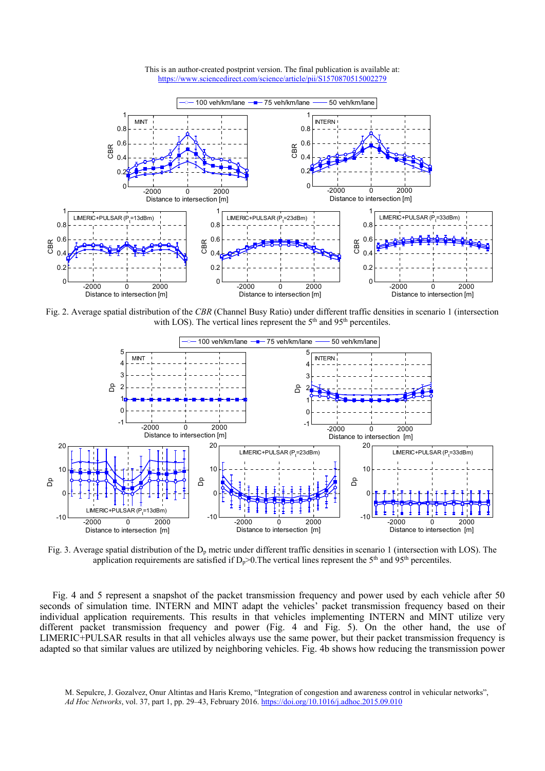

Fig. 2. Average spatial distribution of the *CBR* (Channel Busy Ratio) under different traffic densities in scenario 1 (intersection with LOS). The vertical lines represent the  $5<sup>th</sup>$  and  $95<sup>th</sup>$  percentiles.



Fig. 3. Average spatial distribution of the  $D_p$  metric under different traffic densities in scenario 1 (intersection with LOS). The application requirements are satisfied if  $D_p > 0$ . The vertical lines represent the 5<sup>th</sup> and 95<sup>th</sup> percentiles.

Fig. 4 and 5 represent a snapshot of the packet transmission frequency and power used by each vehicle after 50 seconds of simulation time. INTERN and MINT adapt the vehicles' packet transmission frequency based on their individual application requirements. This results in that vehicles implementing INTERN and MINT utilize very different packet transmission frequency and power (Fig. 4 and Fig. 5). On the other hand, the use of LIMERIC+PULSAR results in that all vehicles always use the same power, but their packet transmission frequency is adapted so that similar values are utilized by neighboring vehicles. Fig. 4b shows how reducing the transmission power

M. Sepulcre, J. Gozalvez, Onur Altintas and Haris Kremo, "Integration of congestion and awareness control in vehicular networks", *Ad Hoc Networks*, vol. 37, part 1, pp. 29–43, February 2016. https://doi.org/10.1016/j.adhoc.2015.09.010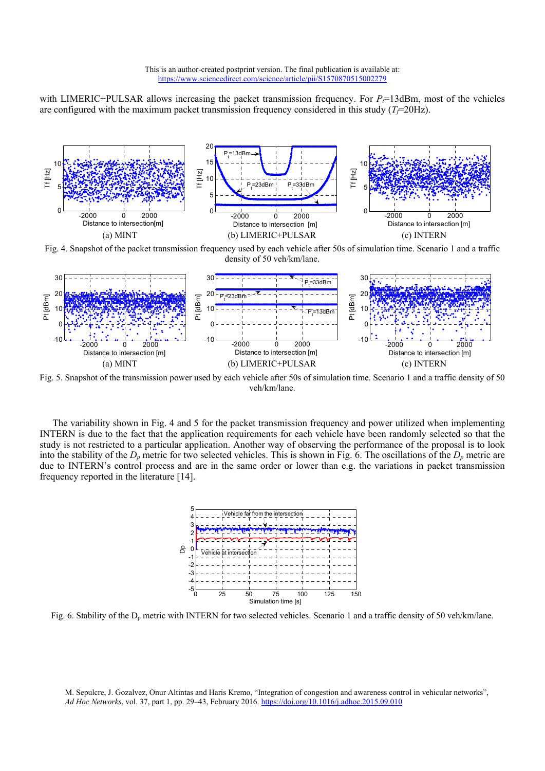with LIMERIC+PULSAR allows increasing the packet transmission frequency. For  $P_f$ =13dBm, most of the vehicles are configured with the maximum packet transmission frequency considered in this study  $(T=20\text{Hz})$ .



Fig. 4. Snapshot of the packet transmission frequency used by each vehicle after 50s of simulation time. Scenario 1 and a traffic density of 50 veh/km/lane.



Fig. 5. Snapshot of the transmission power used by each vehicle after 50s of simulation time. Scenario 1 and a traffic density of 50 veh/km/lane.

The variability shown in Fig. 4 and 5 for the packet transmission frequency and power utilized when implementing INTERN is due to the fact that the application requirements for each vehicle have been randomly selected so that the study is not restricted to a particular application. Another way of observing the performance of the proposal is to look into the stability of the *Dp* metric for two selected vehicles. This is shown in Fig. 6. The oscillations of the *Dp* metric are due to INTERN's control process and are in the same order or lower than e.g. the variations in packet transmission frequency reported in the literature [14].



Fig. 6. Stability of the  $D_p$  metric with INTERN for two selected vehicles. Scenario 1 and a traffic density of 50 veh/km/lane.

M. Sepulcre, J. Gozalvez, Onur Altintas and Haris Kremo, "Integration of congestion and awareness control in vehicular networks", *Ad Hoc Networks*, vol. 37, part 1, pp. 29–43, February 2016. https://doi.org/10.1016/j.adhoc.2015.09.010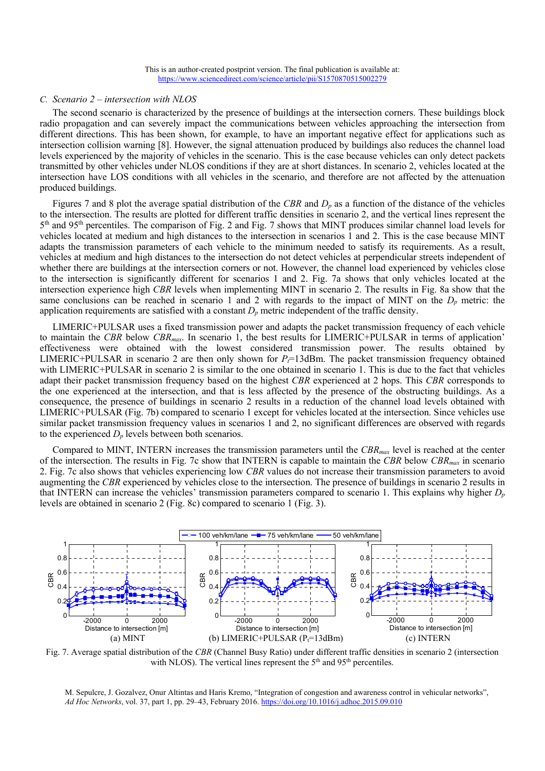## *C. Scenario 2 – intersection with NLOS*

The second scenario is characterized by the presence of buildings at the intersection corners. These buildings block radio propagation and can severely impact the communications between vehicles approaching the intersection from different directions. This has been shown, for example, to have an important negative effect for applications such as intersection collision warning [8]. However, the signal attenuation produced by buildings also reduces the channel load levels experienced by the majority of vehicles in the scenario. This is the case because vehicles can only detect packets transmitted by other vehicles under NLOS conditions if they are at short distances. In scenario 2, vehicles located at the intersection have LOS conditions with all vehicles in the scenario, and therefore are not affected by the attenuation produced buildings.

Figures 7 and 8 plot the average spatial distribution of the *CBR* and *Dp* as a function of the distance of the vehicles to the intersection. The results are plotted for different traffic densities in scenario 2, and the vertical lines represent the 5<sup>th</sup> and 95<sup>th</sup> percentiles. The comparison of Fig. 2 and Fig. 7 shows that MINT produces similar channel load levels for vehicles located at medium and high distances to the intersection in scenarios 1 and 2. This is the case because MINT adapts the transmission parameters of each vehicle to the minimum needed to satisfy its requirements. As a result, vehicles at medium and high distances to the intersection do not detect vehicles at perpendicular streets independent of whether there are buildings at the intersection corners or not. However, the channel load experienced by vehicles close to the intersection is significantly different for scenarios 1 and 2. Fig. 7a shows that only vehicles located at the intersection experience high *CBR* levels when implementing MINT in scenario 2. The results in Fig. 8a show that the same conclusions can be reached in scenario 1 and 2 with regards to the impact of MINT on the  $D<sub>p</sub>$  metric: the application requirements are satisfied with a constant  $D_p$  metric independent of the traffic density.

LIMERIC+PULSAR uses a fixed transmission power and adapts the packet transmission frequency of each vehicle to maintain the *CBR* below *CBRmax*. In scenario 1, the best results for LIMERIC+PULSAR in terms of application' effectiveness were obtained with the lowest considered transmission power. The results obtained by LIMERIC+PULSAR in scenario 2 are then only shown for  $P<sub>i</sub>=13$ dBm. The packet transmission frequency obtained with LIMERIC+PULSAR in scenario 2 is similar to the one obtained in scenario 1. This is due to the fact that vehicles adapt their packet transmission frequency based on the highest *CBR* experienced at 2 hops. This *CBR* corresponds to the one experienced at the intersection, and that is less affected by the presence of the obstructing buildings. As a consequence, the presence of buildings in scenario 2 results in a reduction of the channel load levels obtained with LIMERIC+PULSAR (Fig. 7b) compared to scenario 1 except for vehicles located at the intersection. Since vehicles use similar packet transmission frequency values in scenarios 1 and 2, no significant differences are observed with regards to the experienced  $D_p$  levels between both scenarios.

Compared to MINT, INTERN increases the transmission parameters until the *CBRmax* level is reached at the center of the intersection. The results in Fig. 7c show that INTERN is capable to maintain the *CBR* below *CBRmax* in scenario 2. Fig. 7c also shows that vehicles experiencing low *CBR* values do not increase their transmission parameters to avoid augmenting the *CBR* experienced by vehicles close to the intersection. The presence of buildings in scenario 2 results in that INTERN can increase the vehicles' transmission parameters compared to scenario 1. This explains why higher *Dp* levels are obtained in scenario 2 (Fig. 8c) compared to scenario 1 (Fig. 3).



Fig. 7. Average spatial distribution of the *CBR* (Channel Busy Ratio) under different traffic densities in scenario 2 (intersection with NLOS). The vertical lines represent the  $5<sup>th</sup>$  and  $95<sup>th</sup>$  percentiles.

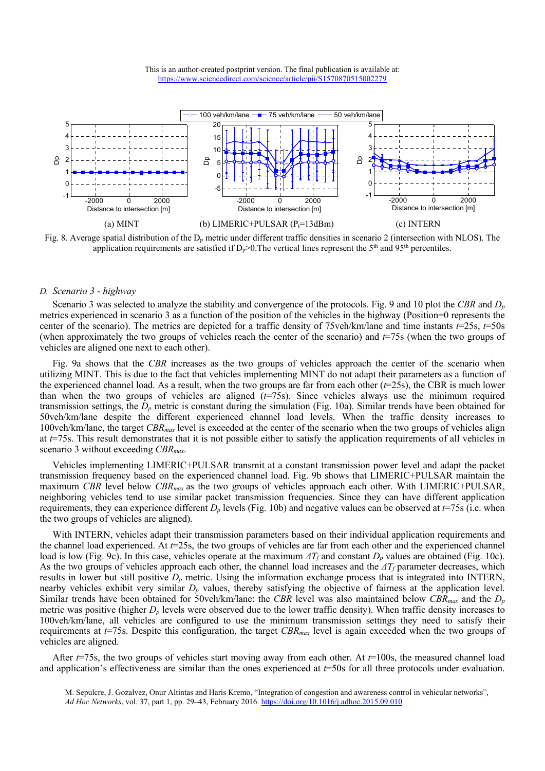



Fig. 8. Average spatial distribution of the  $D<sub>p</sub>$  metric under different traffic densities in scenario 2 (intersection with NLOS). The application requirements are satisfied if  $D_p>0$ . The vertical lines represent the 5<sup>th</sup> and 95<sup>th</sup> percentiles.

## *D. Scenario 3 - highway*

Scenario 3 was selected to analyze the stability and convergence of the protocols. Fig. 9 and 10 plot the *CBR* and *Dp* metrics experienced in scenario 3 as a function of the position of the vehicles in the highway (Position=0 represents the center of the scenario). The metrics are depicted for a traffic density of 75veh/km/lane and time instants *t*=25s, *t*=50s (when approximately the two groups of vehicles reach the center of the scenario) and *t*=75s (when the two groups of vehicles are aligned one next to each other).

Fig. 9a shows that the *CBR* increases as the two groups of vehicles approach the center of the scenario when utilizing MINT. This is due to the fact that vehicles implementing MINT do not adapt their parameters as a function of the experienced channel load. As a result, when the two groups are far from each other  $(t=25s)$ , the CBR is much lower than when the two groups of vehicles are aligned  $(t=75s)$ . Since vehicles always use the minimum required transmission settings, the  $\bar{D}_p$  metric is constant during the simulation (Fig. 10a). Similar trends have been obtained for 50veh/km/lane despite the different experienced channel load levels. When the traffic density increases to 100veh/km/lane, the target *CBRmax* level is exceeded at the center of the scenario when the two groups of vehicles align at  $t$ =75s. This result demonstrates that it is not possible either to satisfy the application requirements of all vehicles in scenario 3 without exceeding *CBRmax*.

Vehicles implementing LIMERIC+PULSAR transmit at a constant transmission power level and adapt the packet transmission frequency based on the experienced channel load. Fig. 9b shows that LIMERIC+PULSAR maintain the maximum *CBR* level below *CBRmax* as the two groups of vehicles approach each other. With LIMERIC+PULSAR, neighboring vehicles tend to use similar packet transmission frequencies. Since they can have different application requirements, they can experience different  $D_p$  levels (Fig. 10b) and negative values can be observed at  $t=75s$  (i.e. when the two groups of vehicles are aligned).

With INTERN, vehicles adapt their transmission parameters based on their individual application requirements and the channel load experienced. At *t*=25s, the two groups of vehicles are far from each other and the experienced channel load is low (Fig. 9c). In this case, vehicles operate at the maximum  $\Delta T_f$  and constant  $D_p$  values are obtained (Fig. 10c). As the two groups of vehicles approach each other, the channel load increases and the *ΔTf* parameter decreases, which results in lower but still positive *Dp* metric. Using the information exchange process that is integrated into INTERN, nearby vehicles exhibit very similar  $D_p$  values, thereby satisfying the objective of fairness at the application level. Similar trends have been obtained for 50veh/km/lane: the *CBR* level was also maintained below *CBRmax* and the *Dp* metric was positive (higher *Dp* levels were observed due to the lower traffic density). When traffic density increases to 100veh/km/lane, all vehicles are configured to use the minimum transmission settings they need to satisfy their requirements at *t*=75s. Despite this configuration, the target *CBRmax* level is again exceeded when the two groups of vehicles are aligned.

After *t*=75s, the two groups of vehicles start moving away from each other. At *t*=100s, the measured channel load and application's effectiveness are similar than the ones experienced at *t*=50s for all three protocols under evaluation.

M. Sepulcre, J. Gozalvez, Onur Altintas and Haris Kremo, "Integration of congestion and awareness control in vehicular networks", *Ad Hoc Networks*, vol. 37, part 1, pp. 29–43, February 2016. https://doi.org/10.1016/j.adhoc.2015.09.010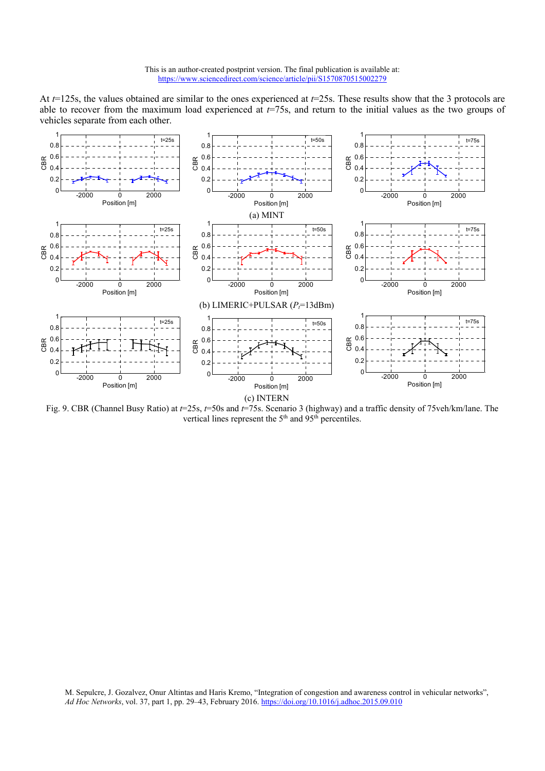At *t*=125s, the values obtained are similar to the ones experienced at *t*=25s. These results show that the 3 protocols are able to recover from the maximum load experienced at  $t=75s$ , and return to the initial values as the two groups of vehicles separate from each other.



Fig. 9. CBR (Channel Busy Ratio) at *t*=25s, *t*=50s and *t*=75s. Scenario 3 (highway) and a traffic density of 75veh/km/lane. The vertical lines represent the 5<sup>th</sup> and 95<sup>th</sup> percentiles.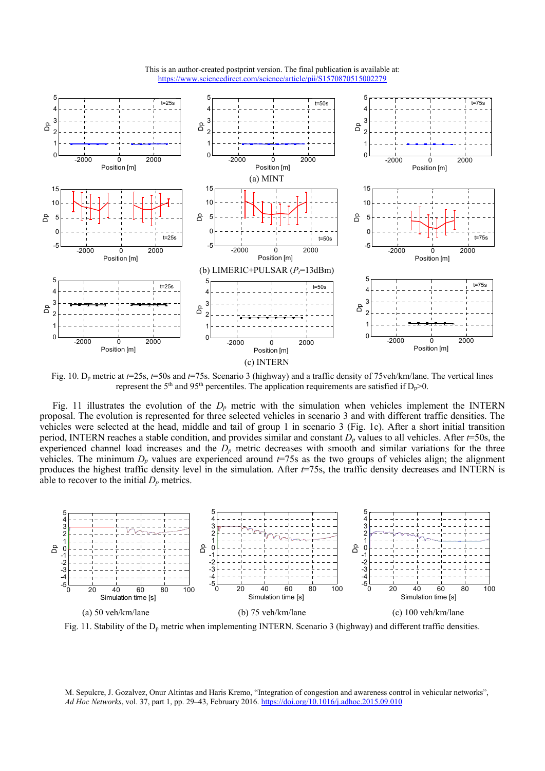

This is an author-created postprint version. The final publication is available at: https://www.sciencedirect.com/science/article/pii/S1570870515002279

Fig. 10. Dp metric at *t*=25s, *t*=50s and *t*=75s. Scenario 3 (highway) and a traffic density of 75veh/km/lane. The vertical lines represent the 5<sup>th</sup> and 95<sup>th</sup> percentiles. The application requirements are satisfied if  $D_p$ >0.

Fig. 11 illustrates the evolution of the  $D_p$  metric with the simulation when vehicles implement the INTERN proposal. The evolution is represented for three selected vehicles in scenario 3 and with different traffic densities. The vehicles were selected at the head, middle and tail of group 1 in scenario 3 (Fig. 1c). After a short initial transition period, INTERN reaches a stable condition, and provides similar and constant  $D_p$  values to all vehicles. After  $t=50$ s, the experienced channel load increases and the *Dp* metric decreases with smooth and similar variations for the three vehicles. The minimum  $D_p$  values are experienced around  $t=75s$  as the two groups of vehicles align; the alignment produces the highest traffic density level in the simulation. After *t*=75s, the traffic density decreases and INTERN is able to recover to the initial  $D_p$  metrics.



Fig. 11. Stability of the  $D_n$  metric when implementing INTERN. Scenario 3 (highway) and different traffic densities.

M. Sepulcre, J. Gozalvez, Onur Altintas and Haris Kremo, "Integration of congestion and awareness control in vehicular networks", *Ad Hoc Networks*, vol. 37, part 1, pp. 29–43, February 2016. https://doi.org/10.1016/j.adhoc.2015.09.010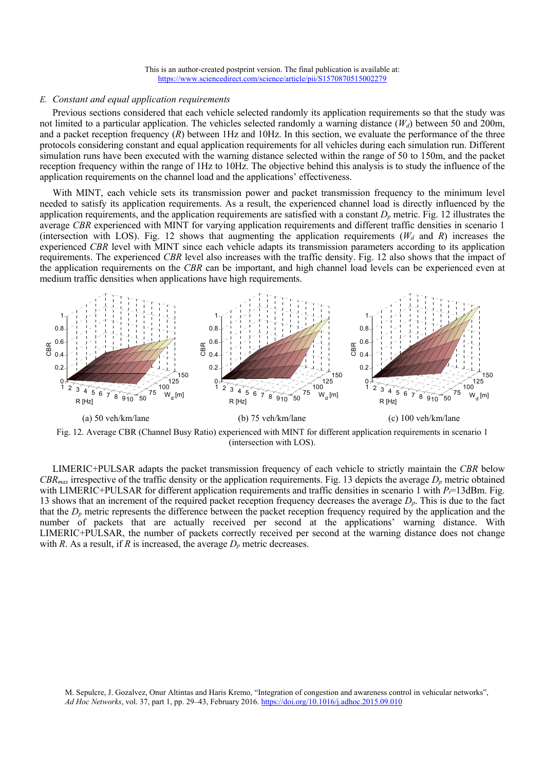## *E. Constant and equal application requirements*

Previous sections considered that each vehicle selected randomly its application requirements so that the study was not limited to a particular application. The vehicles selected randomly a warning distance  $(W_d)$  between 50 and 200m, and a packet reception frequency (*R*) between 1Hz and 10Hz. In this section, we evaluate the performance of the three protocols considering constant and equal application requirements for all vehicles during each simulation run. Different simulation runs have been executed with the warning distance selected within the range of 50 to 150m, and the packet reception frequency within the range of 1Hz to 10Hz. The objective behind this analysis is to study the influence of the application requirements on the channel load and the applications' effectiveness.

With MINT, each vehicle sets its transmission power and packet transmission frequency to the minimum level needed to satisfy its application requirements. As a result, the experienced channel load is directly influenced by the application requirements, and the application requirements are satisfied with a constant *Dp* metric. Fig. 12 illustrates the average *CBR* experienced with MINT for varying application requirements and different traffic densities in scenario 1 (intersection with LOS). Fig. 12 shows that augmenting the application requirements ( $W_d$  and *R*) increases the experienced *CBR* level with MINT since each vehicle adapts its transmission parameters according to its application requirements. The experienced *CBR* level also increases with the traffic density. Fig. 12 also shows that the impact of the application requirements on the *CBR* can be important, and high channel load levels can be experienced even at medium traffic densities when applications have high requirements.



Fig. 12. Average CBR (Channel Busy Ratio) experienced with MINT for different application requirements in scenario 1 (intersection with LOS).

LIMERIC+PULSAR adapts the packet transmission frequency of each vehicle to strictly maintain the *CBR* below *CBRmax* irrespective of the traffic density or the application requirements. Fig. 13 depicts the average *Dp* metric obtained with LIMERIC+PULSAR for different application requirements and traffic densities in scenario 1 with  $P_f$ =13dBm. Fig. 13 shows that an increment of the required packet reception frequency decreases the average *Dp*. This is due to the fact that the *Dp* metric represents the difference between the packet reception frequency required by the application and the number of packets that are actually received per second at the applications' warning distance. With LIMERIC+PULSAR, the number of packets correctly received per second at the warning distance does not change with *R*. As a result, if *R* is increased, the average  $D_p$  metric decreases.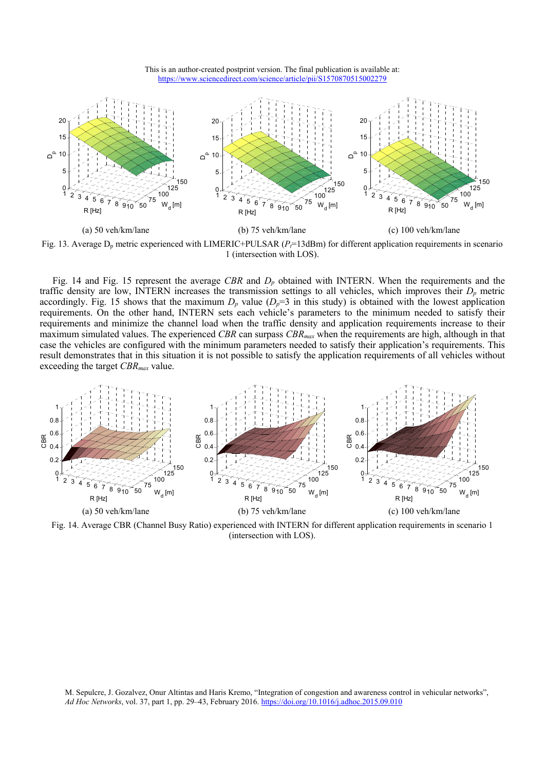



Fig. 13. Average  $D_p$  metric experienced with LIMERIC+PULSAR ( $P_f$ =13dBm) for different application requirements in scenario 1 (intersection with LOS).

Fig. 14 and Fig. 15 represent the average *CBR* and *Dp* obtained with INTERN. When the requirements and the traffic density are low, INTERN increases the transmission settings to all vehicles, which improves their *Dp* metric accordingly. Fig. 15 shows that the maximum  $D_p$  value ( $D_p=3$  in this study) is obtained with the lowest application requirements. On the other hand, INTERN sets each vehicle's parameters to the minimum needed to satisfy their requirements and minimize the channel load when the traffic density and application requirements increase to their maximum simulated values. The experienced *CBR* can surpass *CBRmax* when the requirements are high, although in that case the vehicles are configured with the minimum parameters needed to satisfy their application's requirements. This result demonstrates that in this situation it is not possible to satisfy the application requirements of all vehicles without exceeding the target *CBRmax* value.



Fig. 14. Average CBR (Channel Busy Ratio) experienced with INTERN for different application requirements in scenario 1 (intersection with LOS).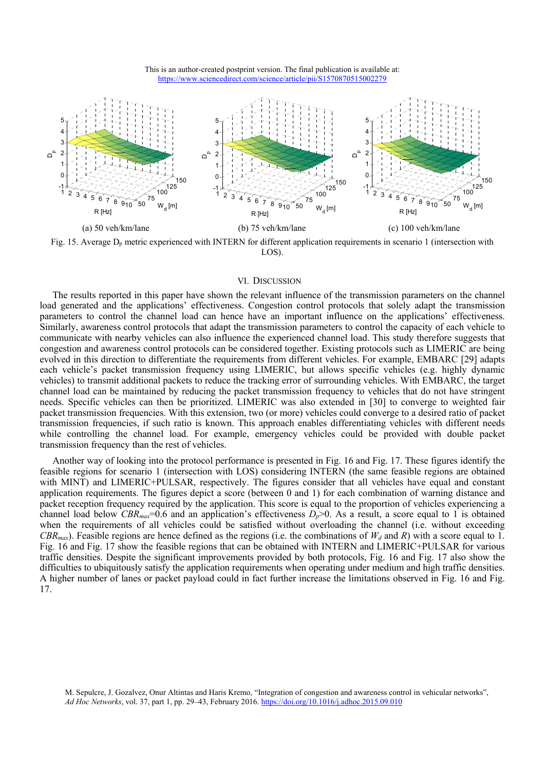

Fig. 15. Average  $D_p$  metric experienced with INTERN for different application requirements in scenario 1 (intersection with LOS).

## VI. DISCUSSION

The results reported in this paper have shown the relevant influence of the transmission parameters on the channel load generated and the applications' effectiveness. Congestion control protocols that solely adapt the transmission parameters to control the channel load can hence have an important influence on the applications' effectiveness. Similarly, awareness control protocols that adapt the transmission parameters to control the capacity of each vehicle to communicate with nearby vehicles can also influence the experienced channel load. This study therefore suggests that congestion and awareness control protocols can be considered together. Existing protocols such as LIMERIC are being evolved in this direction to differentiate the requirements from different vehicles. For example, EMBARC [29] adapts each vehicle's packet transmission frequency using LIMERIC, but allows specific vehicles (e.g. highly dynamic vehicles) to transmit additional packets to reduce the tracking error of surrounding vehicles. With EMBARC, the target channel load can be maintained by reducing the packet transmission frequency to vehicles that do not have stringent needs. Specific vehicles can then be prioritized. LIMERIC was also extended in [30] to converge to weighted fair packet transmission frequencies. With this extension, two (or more) vehicles could converge to a desired ratio of packet transmission frequencies, if such ratio is known. This approach enables differentiating vehicles with different needs while controlling the channel load. For example, emergency vehicles could be provided with double packet transmission frequency than the rest of vehicles.

Another way of looking into the protocol performance is presented in Fig. 16 and Fig. 17. These figures identify the feasible regions for scenario 1 (intersection with LOS) considering INTERN (the same feasible regions are obtained with MINT) and LIMERIC+PULSAR, respectively. The figures consider that all vehicles have equal and constant application requirements. The figures depict a score (between 0 and 1) for each combination of warning distance and packet reception frequency required by the application. This score is equal to the proportion of vehicles experiencing a channel load below  $CBR_{max}=0.6$  and an application's effectiveness  $D_p>0$ . As a result, a score equal to 1 is obtained when the requirements of all vehicles could be satisfied without overloading the channel (i.e. without exceeding *CBR<sub>max</sub>*). Feasible regions are hence defined as the regions (i.e. the combinations of  $W_d$  and *R*) with a score equal to 1. Fig. 16 and Fig. 17 show the feasible regions that can be obtained with INTERN and LIMERIC+PULSAR for various traffic densities. Despite the significant improvements provided by both protocols, Fig. 16 and Fig. 17 also show the difficulties to ubiquitously satisfy the application requirements when operating under medium and high traffic densities. A higher number of lanes or packet payload could in fact further increase the limitations observed in Fig. 16 and Fig. 17.

M. Sepulcre, J. Gozalvez, Onur Altintas and Haris Kremo, "Integration of congestion and awareness control in vehicular networks", *Ad Hoc Networks*, vol. 37, part 1, pp. 29–43, February 2016. https://doi.org/10.1016/j.adhoc.2015.09.010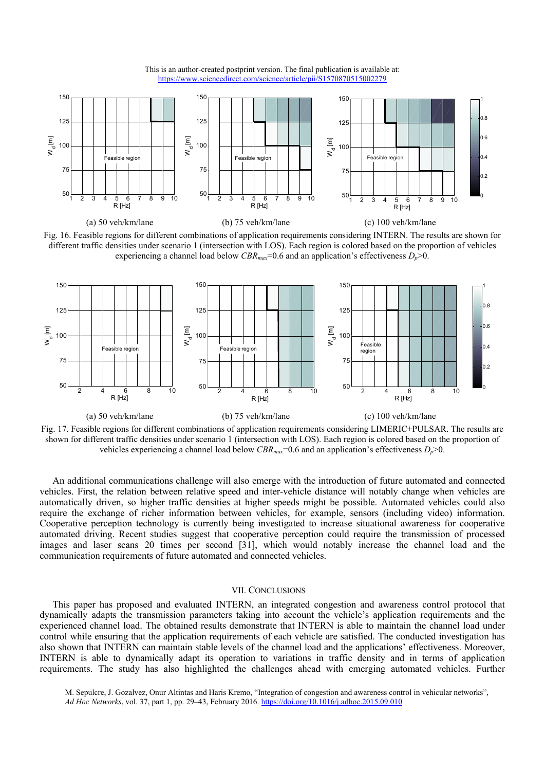This is an author-created postprint version. The final publication is available at: https://www.sciencedirect.com/science/article/pii/S1570870515002279



Fig. 16. Feasible regions for different combinations of application requirements considering INTERN. The results are shown for different traffic densities under scenario 1 (intersection with LOS). Each region is colored based on the proportion of vehicles experiencing a channel load below  $CBR_{max}=0.6$  and an application's effectiveness  $D_p>0$ .



Fig. 17. Feasible regions for different combinations of application requirements considering LIMERIC+PULSAR. The results are shown for different traffic densities under scenario 1 (intersection with LOS). Each region is colored based on the proportion of vehicles experiencing a channel load below  $CBR_{max}=0.6$  and an application's effectiveness  $D_n>0$ .

An additional communications challenge will also emerge with the introduction of future automated and connected vehicles. First, the relation between relative speed and inter-vehicle distance will notably change when vehicles are automatically driven, so higher traffic densities at higher speeds might be possible. Automated vehicles could also require the exchange of richer information between vehicles, for example, sensors (including video) information. Cooperative perception technology is currently being investigated to increase situational awareness for cooperative automated driving. Recent studies suggest that cooperative perception could require the transmission of processed images and laser scans 20 times per second [31], which would notably increase the channel load and the communication requirements of future automated and connected vehicles.

## VII. CONCLUSIONS

This paper has proposed and evaluated INTERN, an integrated congestion and awareness control protocol that dynamically adapts the transmission parameters taking into account the vehicle's application requirements and the experienced channel load. The obtained results demonstrate that INTERN is able to maintain the channel load under control while ensuring that the application requirements of each vehicle are satisfied. The conducted investigation has also shown that INTERN can maintain stable levels of the channel load and the applications' effectiveness. Moreover, INTERN is able to dynamically adapt its operation to variations in traffic density and in terms of application requirements. The study has also highlighted the challenges ahead with emerging automated vehicles. Further

M. Sepulcre, J. Gozalvez, Onur Altintas and Haris Kremo, "Integration of congestion and awareness control in vehicular networks", *Ad Hoc Networks*, vol. 37, part 1, pp. 29–43, February 2016. https://doi.org/10.1016/j.adhoc.2015.09.010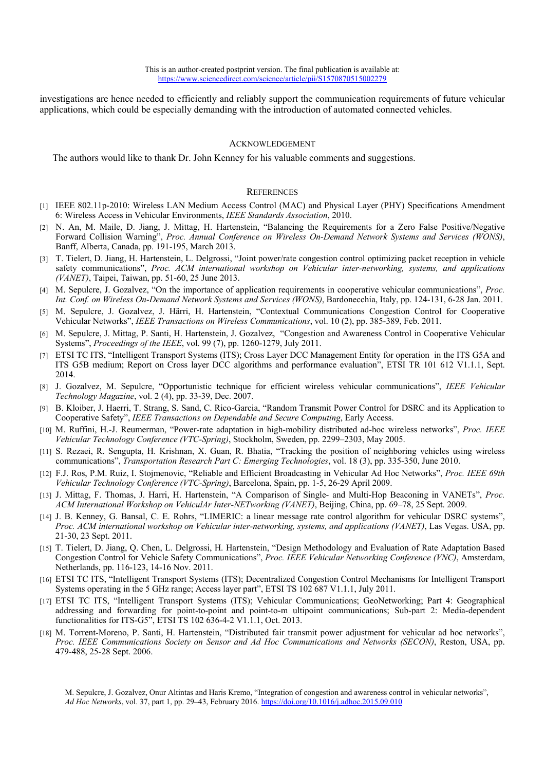investigations are hence needed to efficiently and reliably support the communication requirements of future vehicular applications, which could be especially demanding with the introduction of automated connected vehicles.

## ACKNOWLEDGEMENT

The authors would like to thank Dr. John Kenney for his valuable comments and suggestions.

## **REFERENCES**

- [1] IEEE 802.11p-2010: Wireless LAN Medium Access Control (MAC) and Physical Layer (PHY) Specifications Amendment 6: Wireless Access in Vehicular Environments, *IEEE Standards Association*, 2010.
- [2] N. An, M. Maile, D. Jiang, J. Mittag, H. Hartenstein, "Balancing the Requirements for a Zero False Positive/Negative Forward Collision Warning", *Proc. Annual Conference on Wireless On-Demand Network Systems and Services (WONS)*, Banff, Alberta, Canada, pp. 191-195, March 2013.
- [3] T. Tielert, D. Jiang, H. Hartenstein, L. Delgrossi, "Joint power/rate congestion control optimizing packet reception in vehicle safety communications", *Proc. ACM international workshop on Vehicular inter-networking, systems, and applications (VANET)*, Taipei, Taiwan, pp. 51-60, 25 June 2013.
- [4] M. Sepulcre, J. Gozalvez, "On the importance of application requirements in cooperative vehicular communications", *Proc. Int. Conf. on Wireless On-Demand Network Systems and Services (WONS)*, Bardonecchia, Italy, pp. 124-131, 6-28 Jan. 2011.
- [5] M. Sepulcre, J. Gozalvez, J. Härri, H. Hartenstein, "Contextual Communications Congestion Control for Cooperative Vehicular Networks", *IEEE Transactions on Wireless Communications*, vol. 10 (2), pp. 385-389, Feb. 2011.
- [6] M. Sepulcre, J. Mittag, P. Santi, H. Hartenstein, J. Gozalvez, "Congestion and Awareness Control in Cooperative Vehicular Systems", *Proceedings of the IEEE*, vol. 99 (7), pp. 1260-1279, July 2011.
- [7] ETSI TC ITS, "Intelligent Transport Systems (ITS); Cross Layer DCC Management Entity for operation in the ITS G5A and ITS G5B medium; Report on Cross layer DCC algorithms and performance evaluation", ETSI TR 101 612 V1.1.1, Sept. 2014.
- [8] J. Gozalvez, M. Sepulcre, "Opportunistic technique for efficient wireless vehicular communications", *IEEE Vehicular Technology Magazine*, vol. 2 (4), pp. 33-39, Dec. 2007.
- [9] B. Kloiber, J. Haerri, T. Strang, S. Sand, C. Rico-Garcia, "Random Transmit Power Control for DSRC and its Application to Cooperative Safety", *IEEE Transactions on Dependable and Secure Computing*, Early Access.
- [10] M. Ruffini, H.-J. Reumerman, "Power-rate adaptation in high-mobility distributed ad-hoc wireless networks", *Proc. IEEE Vehicular Technology Conference (VTC-Spring)*, Stockholm, Sweden, pp. 2299–2303, May 2005.
- [11] S. Rezaei, R. Sengupta, H. Krishnan, X. Guan, R. Bhatia, "Tracking the position of neighboring vehicles using wireless communications", *Transportation Research Part C: Emerging Technologies*, vol. 18 (3), pp. 335-350, June 2010.
- [12] F.J. Ros, P.M. Ruiz, I. Stojmenovic, "Reliable and Efficient Broadcasting in Vehicular Ad Hoc Networks", *Proc. IEEE 69th Vehicular Technology Conference (VTC-Spring)*, Barcelona, Spain, pp. 1-5, 26-29 April 2009.
- [13] J. Mittag, F. Thomas, J. Harri, H. Hartenstein, "A Comparison of Single- and Multi-Hop Beaconing in VANETs", *Proc. ACM International Workshop on VehiculAr Inter-NETworking (VANET)*, Beijing, China, pp. 69–78, 25 Sept. 2009.
- [14] J. B. Kenney, G. Bansal, C. E. Rohrs, "LIMERIC: a linear message rate control algorithm for vehicular DSRC systems", *Proc. ACM international workshop on Vehicular inter-networking, systems, and applications (VANET)*, Las Vegas. USA, pp. 21-30, 23 Sept. 2011.
- [15] T. Tielert, D. Jiang, Q. Chen, L. Delgrossi, H. Hartenstein, "Design Methodology and Evaluation of Rate Adaptation Based Congestion Control for Vehicle Safety Communications", *Proc. IEEE Vehicular Networking Conference (VNC)*, Amsterdam, Netherlands, pp. 116-123, 14-16 Nov. 2011.
- [16] ETSI TC ITS, "Intelligent Transport Systems (ITS); Decentralized Congestion Control Mechanisms for Intelligent Transport Systems operating in the 5 GHz range; Access layer part", ETSI TS 102 687 V1.1.1, July 2011.
- [17] ETSI TC ITS, "Intelligent Transport Systems (ITS); Vehicular Communications; GeoNetworking; Part 4: Geographical addressing and forwarding for point-to-point and point-to-m ultipoint communications; Sub-part 2: Media-dependent functionalities for ITS-G5", ETSI TS 102 636-4-2 V1.1.1, Oct. 2013.
- [18] M. Torrent-Moreno, P. Santi, H. Hartenstein, "Distributed fair transmit power adjustment for vehicular ad hoc networks", *Proc. IEEE Communications Society on Sensor and Ad Hoc Communications and Networks (SECON)*, Reston, USA, pp. 479-488, 25-28 Sept. 2006.

M. Sepulcre, J. Gozalvez, Onur Altintas and Haris Kremo, "Integration of congestion and awareness control in vehicular networks", *Ad Hoc Networks*, vol. 37, part 1, pp. 29–43, February 2016. https://doi.org/10.1016/j.adhoc.2015.09.010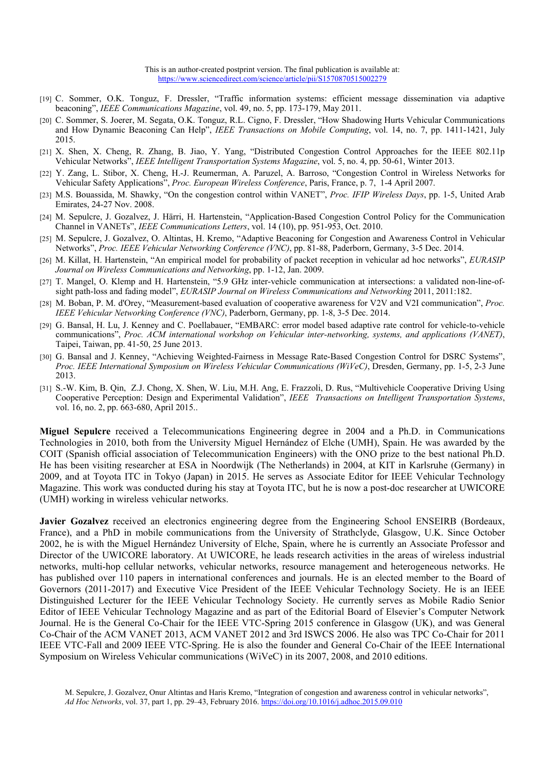- [19] C. Sommer, O.K. Tonguz, F. Dressler, "Traffic information systems: efficient message dissemination via adaptive beaconing", *IEEE Communications Magazine*, vol. 49, no. 5, pp. 173-179, May 2011.
- [20] C. Sommer, S. Joerer, M. Segata, O.K. Tonguz, R.L. Cigno, F. Dressler, "How Shadowing Hurts Vehicular Communications and How Dynamic Beaconing Can Help", *IEEE Transactions on Mobile Computing*, vol. 14, no. 7, pp. 1411-1421, July 2015.
- [21] X. Shen, X. Cheng, R. Zhang, B. Jiao, Y. Yang, "Distributed Congestion Control Approaches for the IEEE 802.11p Vehicular Networks", *IEEE Intelligent Transportation Systems Magazine*, vol. 5, no. 4, pp. 50-61, Winter 2013.
- [22] Y. Zang, L. Stibor, X. Cheng, H.-J. Reumerman, A. Paruzel, A. Barroso, "Congestion Control in Wireless Networks for Vehicular Safety Applications", *Proc. European Wireless Conference*, Paris, France, p. 7, 1-4 April 2007.
- [23] M.S. Bouassida, M. Shawky, "On the congestion control within VANET", *Proc. IFIP Wireless Days*, pp. 1-5, United Arab Emirates, 24-27 Nov. 2008.
- [24] M. Sepulcre, J. Gozalvez, J. Härri, H. Hartenstein, "Application-Based Congestion Control Policy for the Communication Channel in VANETs", *IEEE Communications Letters*, vol. 14 (10), pp. 951-953, Oct. 2010.
- [25] M. Sepulcre, J. Gozalvez, O. Altintas, H. Kremo, "Adaptive Beaconing for Congestion and Awareness Control in Vehicular Networks", *Proc. IEEE Vehicular Networking Conference (VNC)*, pp. 81-88, Paderborn, Germany, 3-5 Dec. 2014.
- [26] M. Killat, H. Hartenstein, "An empirical model for probability of packet reception in vehicular ad hoc networks", *EURASIP Journal on Wireless Communications and Networking*, pp. 1-12, Jan. 2009.
- [27] T. Mangel, O. Klemp and H. Hartenstein, "5.9 GHz inter-vehicle communication at intersections: a validated non-line-ofsight path-loss and fading model", *EURASIP Journal on Wireless Communications and Networking* 2011, 2011:182.
- [28] M. Boban, P. M. d'Orey, "Measurement-based evaluation of cooperative awareness for V2V and V2I communication", *Proc. IEEE Vehicular Networking Conference (VNC)*, Paderborn, Germany, pp. 1-8, 3-5 Dec. 2014.
- [29] G. Bansal, H. Lu, J. Kenney and C. Poellabauer, "EMBARC: error model based adaptive rate control for vehicle-to-vehicle communications", *Proc. ACM international workshop on Vehicular inter-networking, systems, and applications (VANET)*, Taipei, Taiwan, pp. 41-50, 25 June 2013.
- [30] G. Bansal and J. Kenney, "Achieving Weighted-Fairness in Message Rate-Based Congestion Control for DSRC Systems", *Proc. IEEE International Symposium on Wireless Vehicular Communications (WiVeC)*, Dresden, Germany, pp. 1-5, 2-3 June 2013.
- [31] S.-W. Kim, B. Qin, Z.J. Chong, X. Shen, W. Liu, M.H. Ang, E. Frazzoli, D. Rus, "Multivehicle Cooperative Driving Using Cooperative Perception: Design and Experimental Validation", *IEEE Transactions on Intelligent Transportation Systems*, vol. 16, no. 2, pp. 663-680, April 2015..

**Miguel Sepulcre** received a Telecommunications Engineering degree in 2004 and a Ph.D. in Communications Technologies in 2010, both from the University Miguel Hernández of Elche (UMH), Spain. He was awarded by the COIT (Spanish official association of Telecommunication Engineers) with the ONO prize to the best national Ph.D. He has been visiting researcher at ESA in Noordwijk (The Netherlands) in 2004, at KIT in Karlsruhe (Germany) in 2009, and at Toyota ITC in Tokyo (Japan) in 2015. He serves as Associate Editor for IEEE Vehicular Technology Magazine. This work was conducted during his stay at Toyota ITC, but he is now a post-doc researcher at UWICORE (UMH) working in wireless vehicular networks.

**Javier Gozalvez** received an electronics engineering degree from the Engineering School ENSEIRB (Bordeaux, France), and a PhD in mobile communications from the University of Strathclyde, Glasgow, U.K. Since October 2002, he is with the Miguel Hernández University of Elche, Spain, where he is currently an Associate Professor and Director of the UWICORE laboratory. At UWICORE, he leads research activities in the areas of wireless industrial networks, multi-hop cellular networks, vehicular networks, resource management and heterogeneous networks. He has published over 110 papers in international conferences and journals. He is an elected member to the Board of Governors (2011-2017) and Executive Vice President of the IEEE Vehicular Technology Society. He is an IEEE Distinguished Lecturer for the IEEE Vehicular Technology Society. He currently serves as Mobile Radio Senior Editor of IEEE Vehicular Technology Magazine and as part of the Editorial Board of Elsevier's Computer Network Journal. He is the General Co-Chair for the IEEE VTC-Spring 2015 conference in Glasgow (UK), and was General Co-Chair of the ACM VANET 2013, ACM VANET 2012 and 3rd ISWCS 2006. He also was TPC Co-Chair for 2011 IEEE VTC-Fall and 2009 IEEE VTC-Spring. He is also the founder and General Co-Chair of the IEEE International Symposium on Wireless Vehicular communications (WiVeC) in its 2007, 2008, and 2010 editions.